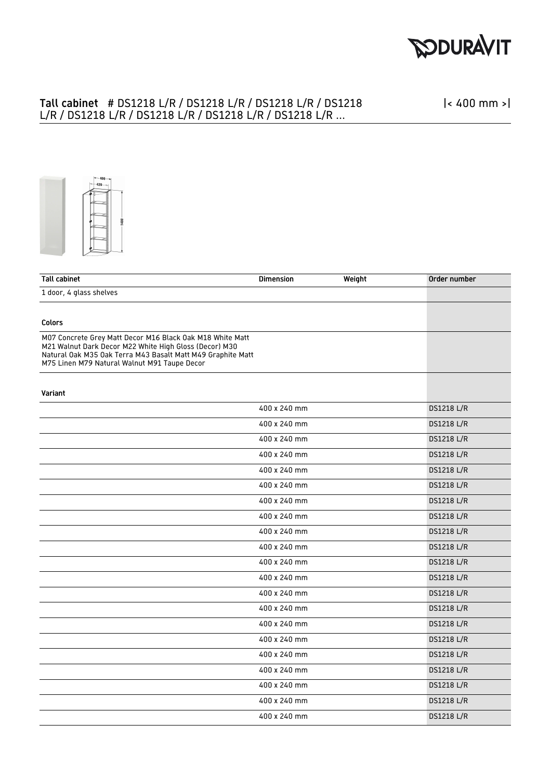

#### Tall cabinet # DS1218 L/R / DS1218 L/R / DS1218 L/R / DS1218 L/R / DS1218 L/R / DS1218 L/R / DS1218 L/R / DS1218 L/R ...

|< 400 mm >|



| <b>Tall cabinet</b>                                                                                                                                                                                                                | <b>Dimension</b> | Weight | Order number      |
|------------------------------------------------------------------------------------------------------------------------------------------------------------------------------------------------------------------------------------|------------------|--------|-------------------|
| 1 door, 4 glass shelves                                                                                                                                                                                                            |                  |        |                   |
|                                                                                                                                                                                                                                    |                  |        |                   |
| <b>Colors</b>                                                                                                                                                                                                                      |                  |        |                   |
| M07 Concrete Grey Matt Decor M16 Black Oak M18 White Matt<br>M21 Walnut Dark Decor M22 White High Gloss (Decor) M30<br>Natural Oak M35 Oak Terra M43 Basalt Matt M49 Graphite Matt<br>M75 Linen M79 Natural Walnut M91 Taupe Decor |                  |        |                   |
| Variant                                                                                                                                                                                                                            |                  |        |                   |
|                                                                                                                                                                                                                                    | 400 x 240 mm     |        | <b>DS1218 L/R</b> |
|                                                                                                                                                                                                                                    | 400 x 240 mm     |        | <b>DS1218 L/R</b> |
|                                                                                                                                                                                                                                    | 400 x 240 mm     |        | <b>DS1218 L/R</b> |
|                                                                                                                                                                                                                                    | 400 x 240 mm     |        | <b>DS1218 L/R</b> |
|                                                                                                                                                                                                                                    | 400 x 240 mm     |        | <b>DS1218 L/R</b> |
|                                                                                                                                                                                                                                    | 400 x 240 mm     |        | <b>DS1218 L/R</b> |
|                                                                                                                                                                                                                                    | 400 x 240 mm     |        | <b>DS1218 L/R</b> |
|                                                                                                                                                                                                                                    | 400 x 240 mm     |        | <b>DS1218 L/R</b> |
|                                                                                                                                                                                                                                    | 400 x 240 mm     |        | <b>DS1218 L/R</b> |
|                                                                                                                                                                                                                                    | 400 x 240 mm     |        | <b>DS1218 L/R</b> |
|                                                                                                                                                                                                                                    | 400 x 240 mm     |        | <b>DS1218 L/R</b> |
|                                                                                                                                                                                                                                    | 400 x 240 mm     |        | <b>DS1218 L/R</b> |
|                                                                                                                                                                                                                                    | 400 x 240 mm     |        | <b>DS1218 L/R</b> |
|                                                                                                                                                                                                                                    | 400 x 240 mm     |        | <b>DS1218 L/R</b> |
|                                                                                                                                                                                                                                    | 400 x 240 mm     |        | <b>DS1218 L/R</b> |
|                                                                                                                                                                                                                                    | 400 x 240 mm     |        | <b>DS1218 L/R</b> |
|                                                                                                                                                                                                                                    | 400 x 240 mm     |        | <b>DS1218 L/R</b> |
|                                                                                                                                                                                                                                    | 400 x 240 mm     |        | <b>DS1218 L/R</b> |
|                                                                                                                                                                                                                                    | 400 x 240 mm     |        | <b>DS1218 L/R</b> |
|                                                                                                                                                                                                                                    | 400 x 240 mm     |        | <b>DS1218 L/R</b> |
|                                                                                                                                                                                                                                    | 400 x 240 mm     |        | <b>DS1218 L/R</b> |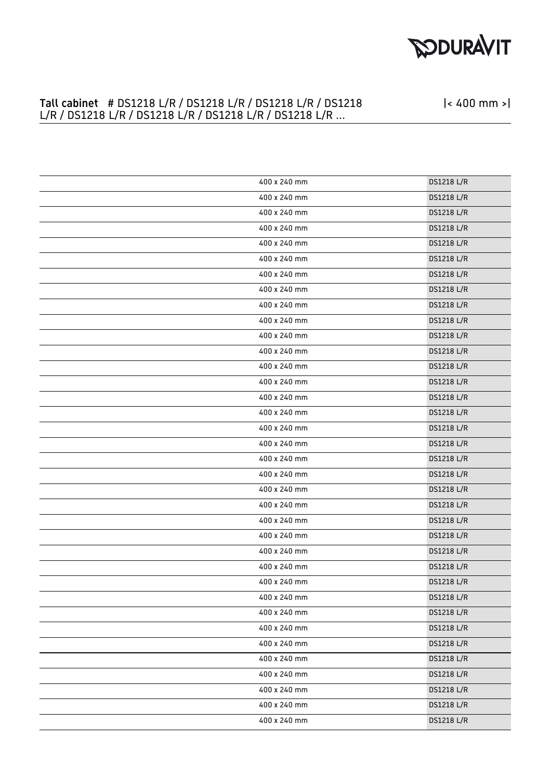# **PODURAVIT**

|< 400 mm >|

#### Tall cabinet # DS1218 L/R / DS1218 L/R / DS1218 L/R / DS1218 L/R / DS1218 L/R / DS1218 L/R / DS1218 L/R / DS1218 L/R ...

| 400 x 240 mm | <b>DS1218 L/R</b> |
|--------------|-------------------|
| 400 x 240 mm | <b>DS1218 L/R</b> |
| 400 x 240 mm | <b>DS1218 L/R</b> |
| 400 x 240 mm | DS1218 L/R        |
| 400 x 240 mm | <b>DS1218 L/R</b> |
| 400 x 240 mm | DS1218 L/R        |
| 400 x 240 mm | DS1218 L/R        |
| 400 x 240 mm | DS1218 L/R        |
| 400 x 240 mm | <b>DS1218 L/R</b> |
| 400 x 240 mm | DS1218 L/R        |
| 400 x 240 mm | DS1218 L/R        |
| 400 x 240 mm | <b>DS1218 L/R</b> |
| 400 x 240 mm | <b>DS1218 L/R</b> |
| 400 x 240 mm | <b>DS1218 L/R</b> |
| 400 x 240 mm | DS1218 L/R        |
| 400 x 240 mm | <b>DS1218 L/R</b> |
| 400 x 240 mm | DS1218 L/R        |
| 400 x 240 mm | <b>DS1218 L/R</b> |
| 400 x 240 mm | DS1218 L/R        |
| 400 x 240 mm | DS1218 L/R        |
| 400 x 240 mm | <b>DS1218 L/R</b> |
| 400 x 240 mm | DS1218 L/R        |
| 400 x 240 mm | DS1218 L/R        |
| 400 x 240 mm | DS1218 L/R        |
| 400 x 240 mm | DS1218 L/R        |
| 400 x 240 mm | DS1218 L/R        |
| 400 x 240 mm | <b>DS1218 L/R</b> |
| 400 x 240 mm | DS1218 L/R        |
| 400 x 240 mm | <b>DS1218 L/R</b> |
| 400 x 240 mm | <b>DS1218 L/R</b> |
| 400 x 240 mm | <b>DS1218 L/R</b> |
| 400 x 240 mm | <b>DS1218 L/R</b> |
| 400 x 240 mm | <b>DS1218 L/R</b> |
| 400 x 240 mm | DS1218 L/R        |
| 400 x 240 mm | DS1218 L/R        |
| 400 x 240 mm | <b>DS1218 L/R</b> |